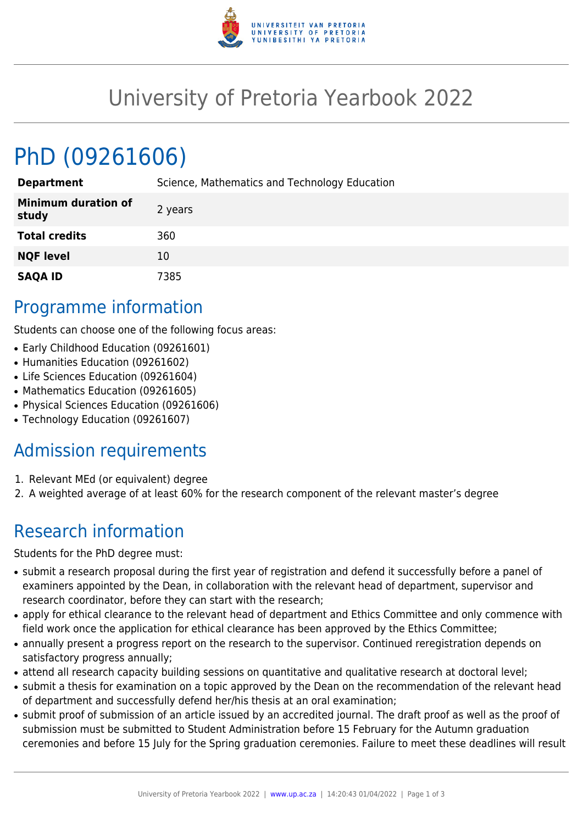

## University of Pretoria Yearbook 2022

# PhD (09261606)

| <b>Department</b>                   | Science, Mathematics and Technology Education |
|-------------------------------------|-----------------------------------------------|
| <b>Minimum duration of</b><br>study | 2 years                                       |
| <b>Total credits</b>                | 360                                           |
| <b>NQF level</b>                    | 10                                            |
| <b>SAQA ID</b>                      | 7385                                          |

#### Programme information

Students can choose one of the following focus areas:

- Early Childhood Education (09261601)
- Humanities Education (09261602)
- Life Sciences Education (09261604)
- Mathematics Education (09261605)
- Physical Sciences Education (09261606)
- Technology Education (09261607)

### Admission requirements

- 1. Relevant MEd (or equivalent) degree
- 2. A weighted average of at least 60% for the research component of the relevant master's degree

## Research information

Students for the PhD degree must:

- submit a research proposal during the first year of registration and defend it successfully before a panel of examiners appointed by the Dean, in collaboration with the relevant head of department, supervisor and research coordinator, before they can start with the research;
- apply for ethical clearance to the relevant head of department and Ethics Committee and only commence with field work once the application for ethical clearance has been approved by the Ethics Committee;
- annually present a progress report on the research to the supervisor. Continued reregistration depends on satisfactory progress annually;
- attend all research capacity building sessions on quantitative and qualitative research at doctoral level;
- submit a thesis for examination on a topic approved by the Dean on the recommendation of the relevant head of department and successfully defend her/his thesis at an oral examination;
- submit proof of submission of an article issued by an accredited journal. The draft proof as well as the proof of submission must be submitted to Student Administration before 15 February for the Autumn graduation ceremonies and before 15 July for the Spring graduation ceremonies. Failure to meet these deadlines will result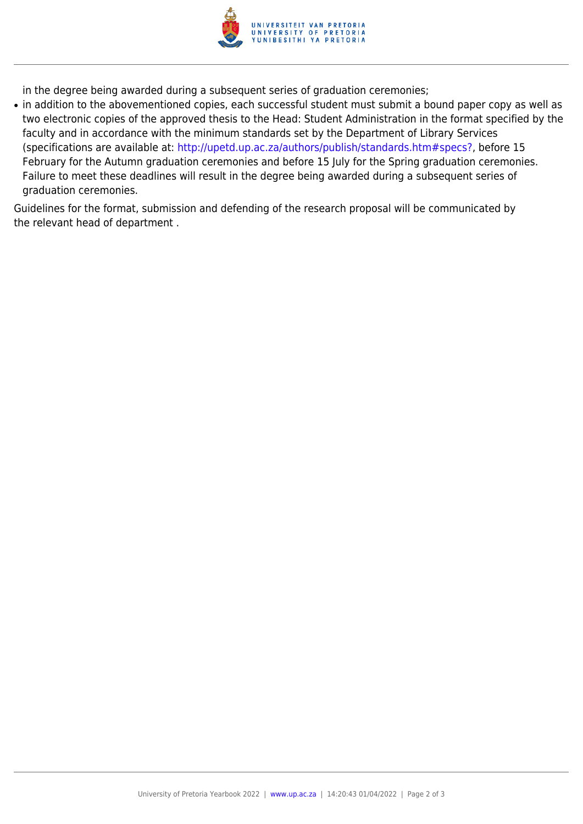

in the degree being awarded during a subsequent series of graduation ceremonies;

• in addition to the abovementioned copies, each successful student must submit a bound paper copy as well as two electronic copies of the approved thesis to the Head: Student Administration in the format specified by the faculty and in accordance with the minimum standards set by the Department of Library Services (specifications are available at: [http://upetd.up.ac.za/authors/publish/standards.htm#specs?,](http://upetd.up.ac.za/authors/publish/standards.htm#specs) before 15 February for the Autumn graduation ceremonies and before 15 July for the Spring graduation ceremonies. Failure to meet these deadlines will result in the degree being awarded during a subsequent series of graduation ceremonies.

Guidelines for the format, submission and defending of the research proposal will be communicated by the relevant head of department .